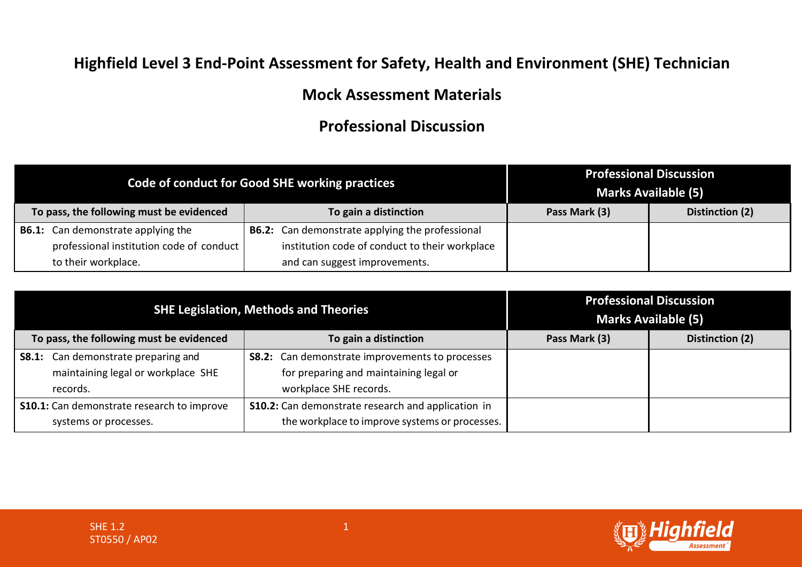## **Highfield Level 3 End-Point Assessment for Safety, Health and Environment (SHE) Technician**

## **Mock Assessment Materials**

## **Professional Discussion**

|                                           | Code of conduct for Good SHE working practices         |               | <b>Professional Discussion</b><br><b>Marks Available (5)</b> |
|-------------------------------------------|--------------------------------------------------------|---------------|--------------------------------------------------------------|
| To pass, the following must be evidenced  | To gain a distinction                                  | Pass Mark (3) | Distinction (2)                                              |
| <b>B6.1:</b> Can demonstrate applying the | <b>B6.2:</b> Can demonstrate applying the professional |               |                                                              |
| professional institution code of conduct  | institution code of conduct to their workplace         |               |                                                              |
| to their workplace.                       | and can suggest improvements.                          |               |                                                              |

|                                                   | <b>SHE Legislation, Methods and Theories</b>              |               | <b>Professional Discussion</b><br><b>Marks Available (5)</b> |
|---------------------------------------------------|-----------------------------------------------------------|---------------|--------------------------------------------------------------|
| To pass, the following must be evidenced          | To gain a distinction                                     | Pass Mark (3) | Distinction (2)                                              |
| <b>S8.1:</b> Can demonstrate preparing and        | <b>S8.2:</b> Can demonstrate improvements to processes    |               |                                                              |
| maintaining legal or workplace SHE                | for preparing and maintaining legal or                    |               |                                                              |
| records.                                          | workplace SHE records.                                    |               |                                                              |
| <b>S10.1:</b> Can demonstrate research to improve | <b>S10.2:</b> Can demonstrate research and application in |               |                                                              |
| systems or processes.                             | the workplace to improve systems or processes.            |               |                                                              |

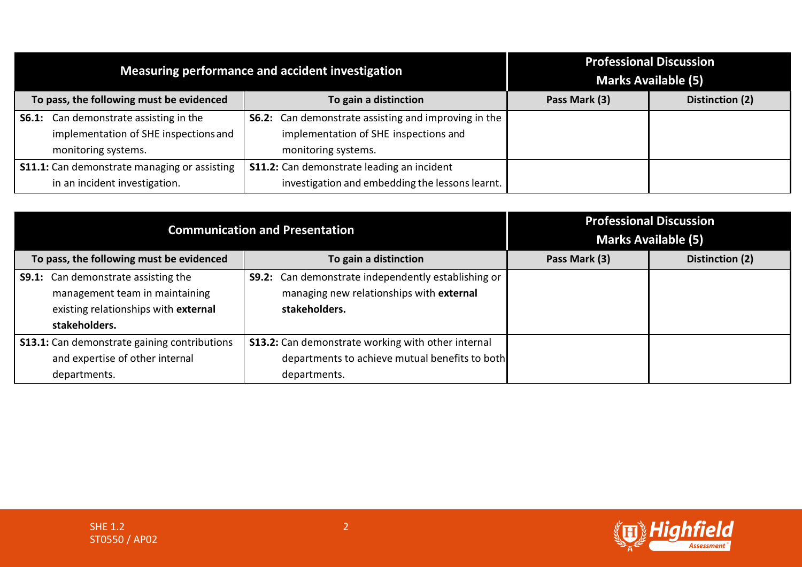|                                                     | Measuring performance and accident investigation            |               | <b>Professional Discussion</b><br><b>Marks Available (5)</b> |
|-----------------------------------------------------|-------------------------------------------------------------|---------------|--------------------------------------------------------------|
| To pass, the following must be evidenced            | To gain a distinction                                       | Pass Mark (3) | Distinction (2)                                              |
| <b>S6.1:</b> Can demonstrate assisting in the       | <b>S6.2:</b> Can demonstrate assisting and improving in the |               |                                                              |
| implementation of SHE inspections and               | implementation of SHE inspections and                       |               |                                                              |
| monitoring systems.                                 | monitoring systems.                                         |               |                                                              |
| <b>S11.1:</b> Can demonstrate managing or assisting | <b>S11.2:</b> Can demonstrate leading an incident           |               |                                                              |
| in an incident investigation.                       | investigation and embedding the lessons learnt.             |               |                                                              |

|                                                                                                                                       | <b>Communication and Presentation</b>                                                                                   |               | <b>Professional Discussion</b><br><b>Marks Available (5)</b> |
|---------------------------------------------------------------------------------------------------------------------------------------|-------------------------------------------------------------------------------------------------------------------------|---------------|--------------------------------------------------------------|
| To pass, the following must be evidenced                                                                                              | To gain a distinction                                                                                                   | Pass Mark (3) | Distinction (2)                                              |
| <b>S9.1:</b> Can demonstrate assisting the<br>management team in maintaining<br>existing relationships with external<br>stakeholders. | <b>S9.2:</b> Can demonstrate independently establishing or<br>managing new relationships with external<br>stakeholders. |               |                                                              |
| <b>S13.1:</b> Can demonstrate gaining contributions                                                                                   | <b>S13.2:</b> Can demonstrate working with other internal                                                               |               |                                                              |
| and expertise of other internal                                                                                                       | departments to achieve mutual benefits to both                                                                          |               |                                                              |
| departments.                                                                                                                          | departments.                                                                                                            |               |                                                              |